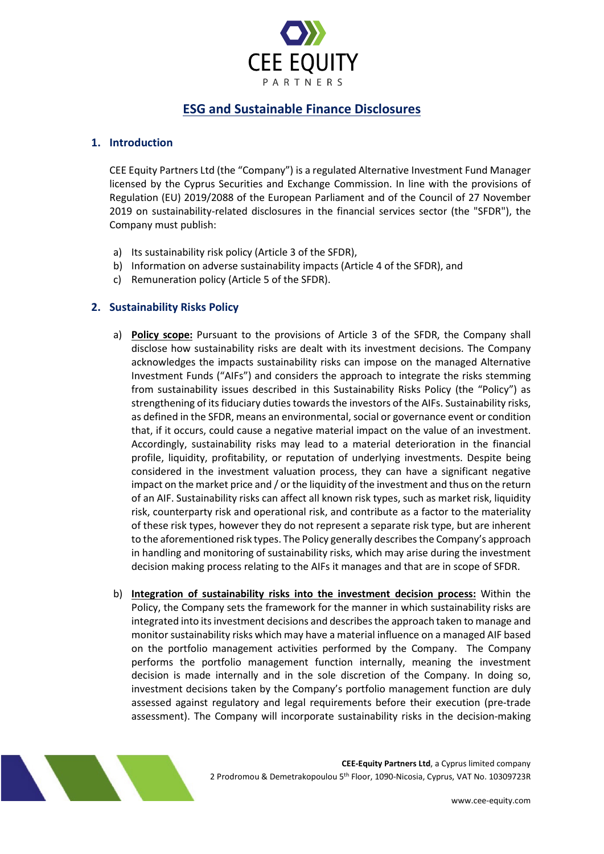

# **ESG and Sustainable Finance Disclosures**

### **1. Introduction**

CEE Equity Partners Ltd (the "Company") is a regulated Alternative Investment Fund Manager licensed by the Cyprus Securities and Exchange Commission. In line with the provisions of Regulation (EU) 2019/2088 of the European Parliament and of the Council of 27 November 2019 on sustainability-related disclosures in the financial services sector (the "SFDR"), the Company must publish:

- a) Its sustainability risk policy (Article 3 of the SFDR),
- b) Information on adverse sustainability impacts (Article 4 of the SFDR), and
- c) Remuneration policy (Article 5 of the SFDR).

#### **2. Sustainability Risks Policy**

- a) **Policy scope:** Pursuant to the provisions of Article 3 of the SFDR, the Company shall disclose how sustainability risks are dealt with its investment decisions. The Company acknowledges the impacts sustainability risks can impose on the managed Alternative Investment Funds ("AIFs") and considers the approach to integrate the risks stemming from sustainability issues described in this Sustainability Risks Policy (the "Policy") as strengthening of its fiduciary duties towards the investors of the AIFs. Sustainability risks, as defined in the SFDR, means an environmental, social or governance event or condition that, if it occurs, could cause a negative material impact on the value of an investment. Accordingly, sustainability risks may lead to a material deterioration in the financial profile, liquidity, profitability, or reputation of underlying investments. Despite being considered in the investment valuation process, they can have a significant negative impact on the market price and / or the liquidity of the investment and thus on the return of an AIF. Sustainability risks can affect all known risk types, such as market risk, liquidity risk, counterparty risk and operational risk, and contribute as a factor to the materiality of these risk types, however they do not represent a separate risk type, but are inherent to the aforementioned risk types. The Policy generally describes the Company's approach in handling and monitoring of sustainability risks, which may arise during the investment decision making process relating to the AIFs it manages and that are in scope of SFDR.
- b) **Integration of sustainability risks into the investment decision process:** Within the Policy, the Company sets the framework for the manner in which sustainability risks are integrated into its investment decisions and describes the approach taken to manage and monitor sustainability risks which may have a material influence on a managed AIF based on the portfolio management activities performed by the Company. The Company performs the portfolio management function internally, meaning the investment decision is made internally and in the sole discretion of the Company. In doing so, investment decisions taken by the Company's portfolio management function are duly assessed against regulatory and legal requirements before their execution (pre-trade assessment). The Company will incorporate sustainability risks in the decision-making



**CEE-Equity Partners Ltd**, a Cyprus limited company 2 Prodromou & Demetrakopoulou 5th Floor, 1090-Nicosia, Cyprus, VAT No. 10309723R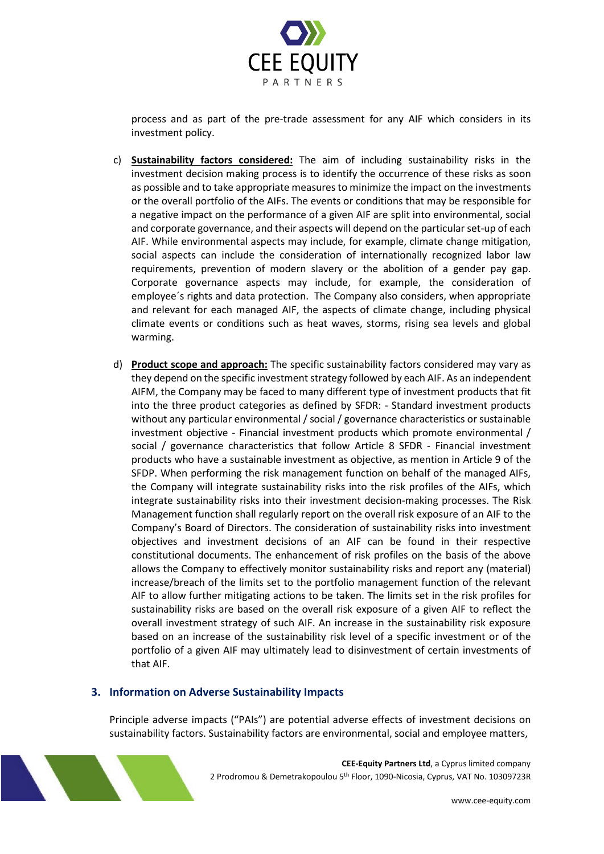

process and as part of the pre-trade assessment for any AIF which considers in its investment policy.

- c) **Sustainability factors considered:** The aim of including sustainability risks in the investment decision making process is to identify the occurrence of these risks as soon as possible and to take appropriate measures to minimize the impact on the investments or the overall portfolio of the AIFs. The events or conditions that may be responsible for a negative impact on the performance of a given AIF are split into environmental, social and corporate governance, and their aspects will depend on the particular set-up of each AIF. While environmental aspects may include, for example, climate change mitigation, social aspects can include the consideration of internationally recognized labor law requirements, prevention of modern slavery or the abolition of a gender pay gap. Corporate governance aspects may include, for example, the consideration of employee´s rights and data protection. The Company also considers, when appropriate and relevant for each managed AIF, the aspects of climate change, including physical climate events or conditions such as heat waves, storms, rising sea levels and global warming.
- d) **Product scope and approach:** The specific sustainability factors considered may vary as they depend on the specific investment strategy followed by each AIF. As an independent AIFM, the Company may be faced to many different type of investment products that fit into the three product categories as defined by SFDR: - Standard investment products without any particular environmental / social / governance characteristics or sustainable investment objective - Financial investment products which promote environmental / social / governance characteristics that follow Article 8 SFDR - Financial investment products who have a sustainable investment as objective, as mention in Article 9 of the SFDP. When performing the risk management function on behalf of the managed AIFs, the Company will integrate sustainability risks into the risk profiles of the AIFs, which integrate sustainability risks into their investment decision-making processes. The Risk Management function shall regularly report on the overall risk exposure of an AIF to the Company's Board of Directors. The consideration of sustainability risks into investment objectives and investment decisions of an AIF can be found in their respective constitutional documents. The enhancement of risk profiles on the basis of the above allows the Company to effectively monitor sustainability risks and report any (material) increase/breach of the limits set to the portfolio management function of the relevant AIF to allow further mitigating actions to be taken. The limits set in the risk profiles for sustainability risks are based on the overall risk exposure of a given AIF to reflect the overall investment strategy of such AIF. An increase in the sustainability risk exposure based on an increase of the sustainability risk level of a specific investment or of the portfolio of a given AIF may ultimately lead to disinvestment of certain investments of that AIF.

# **3. Information on Adverse Sustainability Impacts**

Principle adverse impacts ("PAIs") are potential adverse effects of investment decisions on sustainability factors. Sustainability factors are environmental, social and employee matters,



**CEE-Equity Partners Ltd**, a Cyprus limited company 2 Prodromou & Demetrakopoulou 5th Floor, 1090-Nicosia, Cyprus, VAT No. 10309723R